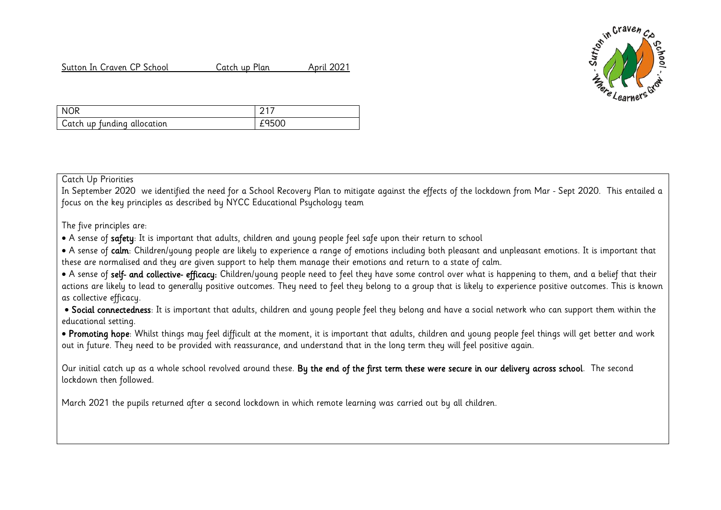Sutton In Craven CP School Catch up Plan April 2021



| NOR                         |       |
|-----------------------------|-------|
| Catch up funding allocation | £9500 |

## Catch Up Priorities

In September 2020 we identified the need for a School Recovery Plan to mitigate against the effects of the lockdown from Mar - Sept 2020. This entailed a focus on the key principles as described by NYCC Educational Psychology team

The five principles are:

A sense of safety: It is important that adults, children and young people feel safe upon their return to school

• A sense of calm: Children/young people are likely to experience a range of emotions including both pleasant and unpleasant emotions. It is important that these are normalised and they are given support to help them manage their emotions and return to a state of calm.

• A sense of self- and collective- efficacy: Children/young people need to feel they have some control over what is happening to them, and a belief that their actions are likely to lead to generally positive outcomes. They need to feel they belong to a group that is likely to experience positive outcomes. This is known as collective efficacy.

• Social connectedness: It is important that adults, children and young people feel they belong and have a social network who can support them within the educational setting.

• Promoting hope: Whilst things may feel difficult at the moment, it is important that adults, children and young people feel things will get better and work out in future. They need to be provided with reassurance, and understand that in the long term they will feel positive again.

Our initial catch up as a whole school revolved around these. By the end of the first term these were secure in our delivery across school. The second lockdown then followed.

March 2021 the pupils returned after a second lockdown in which remote learning was carried out by all children.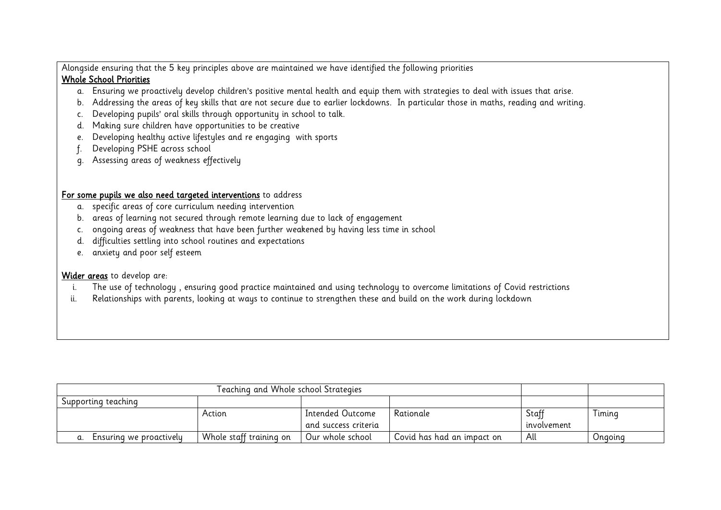Alongside ensuring that the 5 key principles above are maintained we have identified the following priorities

## Whole School Priorities

- a. Ensuring we proactively develop children's positive mental health and equip them with strategies to deal with issues that arise.
- b. Addressing the areas of key skills that are not secure due to earlier lockdowns. In particular those in maths, reading and writing.
- c. Developing pupils' oral skills through opportunity in school to talk.
- d. Making sure children have opportunities to be creative
- e. Developing healthy active lifestyles and re engaging with sports
- f. Developing PSHE across school
- g. Assessing areas of weakness effectively

## For some pupils we also need targeted interventions to address

- a. specific areas of core curriculum needing intervention
- b. areas of learning not secured through remote learning due to lack of engagement
- c. ongoing areas of weakness that have been further weakened by having less time in school
- d. difficulties settling into school routines and expectations
- e. anxiety and poor self esteem

## Wider areas to develop are:

- i. The use of technology , ensuring good practice maintained and using technology to overcome limitations of Covid restrictions
- ii. Relationships with parents, looking at ways to continue to strengthen these and build on the work during lockdown

| Teaching and Whole school Strategies |                         |                      |                            |             |         |
|--------------------------------------|-------------------------|----------------------|----------------------------|-------------|---------|
| Supporting teaching                  |                         |                      |                            |             |         |
|                                      | Action                  | Intended Outcome     | Rationale                  | Staff       | Timing  |
|                                      |                         | and success criteria |                            | involvement |         |
| Ensuring we proactively              | Whole staff training on | Our whole school     | Covid has had an impact on | All         | Onaoina |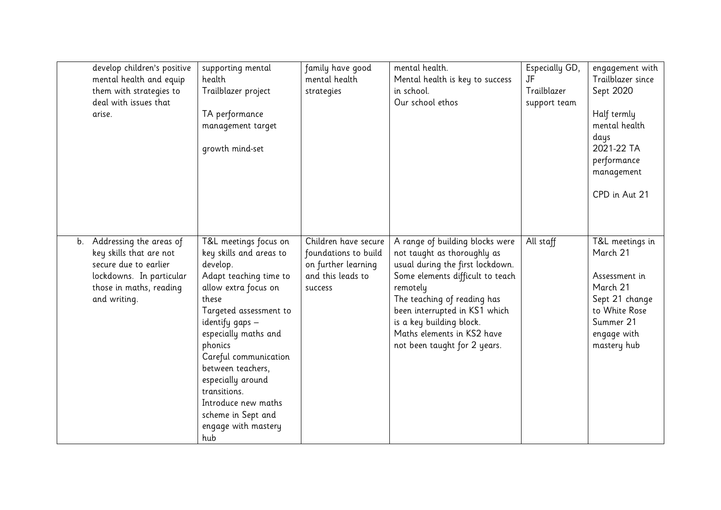|    | develop children's positive<br>mental health and equip<br>them with strategies to<br>deal with issues that<br>arise.                               | supporting mental<br>health<br>Trailblazer project<br>TA performance<br>management target<br>growth mind-set                                                                                                                                                                                                                                                          | family have good<br>mental health<br>strategies                                                     | mental health.<br>Mental health is key to success<br>in school.<br>Our school ethos                                                                                                                                                                                                                          | Especially GD,<br>JF<br>Trailblazer<br>support team | engagement with<br>Trailblazer since<br>Sept 2020<br>Half termly<br>mental health<br>days<br>2021-22 TA<br>performance<br>management<br>CPD in Aut 21 |
|----|----------------------------------------------------------------------------------------------------------------------------------------------------|-----------------------------------------------------------------------------------------------------------------------------------------------------------------------------------------------------------------------------------------------------------------------------------------------------------------------------------------------------------------------|-----------------------------------------------------------------------------------------------------|--------------------------------------------------------------------------------------------------------------------------------------------------------------------------------------------------------------------------------------------------------------------------------------------------------------|-----------------------------------------------------|-------------------------------------------------------------------------------------------------------------------------------------------------------|
| b. | Addressing the areas of<br>key skills that are not<br>secure due to earlier<br>lockdowns. In particular<br>those in maths, reading<br>and writing. | T&L meetings focus on<br>key skills and areas to<br>develop.<br>Adapt teaching time to<br>allow extra focus on<br>these<br>Targeted assessment to<br>identify gaps -<br>especially maths and<br>phonics<br>Careful communication<br>between teachers,<br>especially around<br>transitions.<br>Introduce new maths<br>scheme in Sept and<br>engage with mastery<br>hub | Children have secure<br>foundations to build<br>on further learning<br>and this leads to<br>success | A range of building blocks were<br>not taught as thoroughly as<br>usual during the first lockdown.<br>Some elements difficult to teach<br>remotely<br>The teaching of reading has<br>been interrupted in KS1 which<br>is a key building block.<br>Maths elements in KS2 have<br>not been taught for 2 years. | All staff                                           | T&L meetings in<br>March 21<br>Assessment in<br>March 21<br>Sept 21 change<br>to White Rose<br>Summer 21<br>engage with<br>mastery hub                |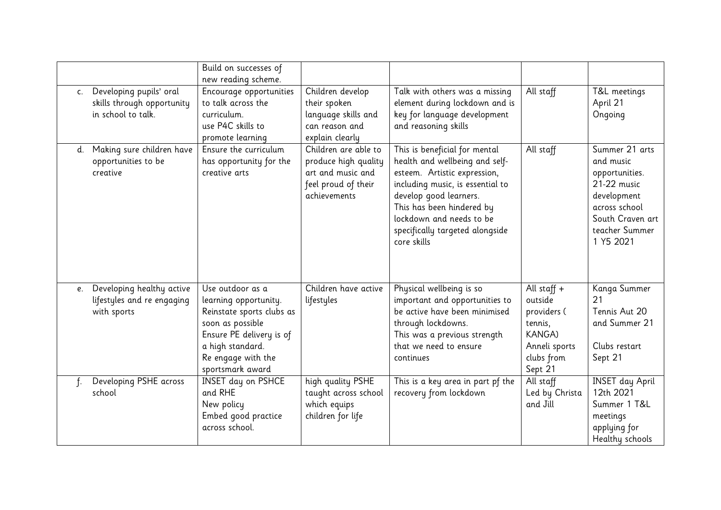|                |                                                                             | Build on successes of<br>new reading scheme.                                                                                                                                         |                                                                                                          |                                                                                                                                                                                                                                                                          |                                                                                                               |                                                                                                                                                 |
|----------------|-----------------------------------------------------------------------------|--------------------------------------------------------------------------------------------------------------------------------------------------------------------------------------|----------------------------------------------------------------------------------------------------------|--------------------------------------------------------------------------------------------------------------------------------------------------------------------------------------------------------------------------------------------------------------------------|---------------------------------------------------------------------------------------------------------------|-------------------------------------------------------------------------------------------------------------------------------------------------|
| $\mathsf{C}$ . | Developing pupils' oral<br>skills through opportunity<br>in school to talk. | Encourage opportunities<br>to talk across the<br>curriculum.<br>use P4C skills to<br>promote learning                                                                                | Children develop<br>their spoken<br>language skills and<br>can reason and<br>explain clearly             | Talk with others was a missing<br>element during lockdown and is<br>key for language development<br>and reasoning skills                                                                                                                                                 | All staff                                                                                                     | T&L meetings<br>April 21<br>Ongoing                                                                                                             |
| d.             | Making sure children have<br>opportunities to be<br>creative                | Ensure the curriculum<br>has opportunity for the<br>creative arts                                                                                                                    | Children are able to<br>produce high quality<br>art and music and<br>feel proud of their<br>achievements | This is beneficial for mental<br>health and wellbeing and self-<br>esteem. Artistic expression,<br>including music, is essential to<br>develop good learners.<br>This has been hindered by<br>lockdown and needs to be<br>specifically targeted alongside<br>core skills | All staff                                                                                                     | Summer 21 arts<br>and music<br>opportunities.<br>21-22 music<br>development<br>across school<br>South Craven art<br>teacher Summer<br>1 Y5 2021 |
| e.             | Developing healthy active<br>lifestyles and re engaging<br>with sports      | Use outdoor as a<br>learning opportunity.<br>Reinstate sports clubs as<br>soon as possible<br>Ensure PE delivery is of<br>a high standard.<br>Re engage with the<br>sportsmark award | Children have active<br>lifestyles                                                                       | Physical wellbeing is so<br>important and opportunities to<br>be active have been minimised<br>through lockdowns.<br>This was a previous strength<br>that we need to ensure<br>continues                                                                                 | All staff $+$<br>outside<br>providers (<br>tennis,<br><b>KANGA)</b><br>Anneli sports<br>clubs from<br>Sept 21 | Kanga Summer<br>21<br>Tennis Aut 20<br>and Summer 21<br>Clubs restart<br>Sept 21                                                                |
| f <sub>1</sub> | Developing PSHE across<br>school                                            | <b>INSET day on PSHCE</b><br>and RHE<br>New policy<br>Embed good practice<br>across school.                                                                                          | high quality PSHE<br>taught across school<br>which equips<br>children for life                           | This is a key area in part pf the<br>recovery from lockdown                                                                                                                                                                                                              | All staff<br>Led by Christa<br>and Jill                                                                       | <b>INSET</b> day April<br>12th 2021<br>Summer 1 T&L<br>meetings<br>applying for<br>Healthy schools                                              |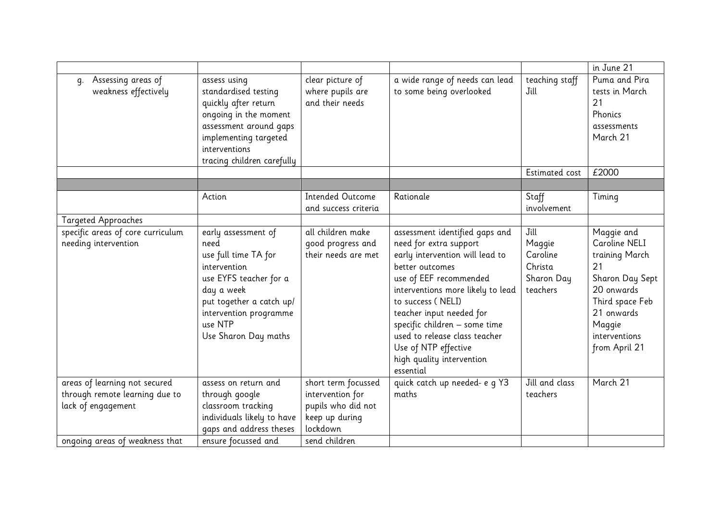|                                                           |                                                                                                                                                                                                      |                                                                      |                                                                                                                                                                                                                                                                                                                                                                    |                                                                 | in June 21                                                                                                                                                        |
|-----------------------------------------------------------|------------------------------------------------------------------------------------------------------------------------------------------------------------------------------------------------------|----------------------------------------------------------------------|--------------------------------------------------------------------------------------------------------------------------------------------------------------------------------------------------------------------------------------------------------------------------------------------------------------------------------------------------------------------|-----------------------------------------------------------------|-------------------------------------------------------------------------------------------------------------------------------------------------------------------|
| Assessing areas of<br>q.<br>weakness effectively          | assess using<br>standardised testing<br>quickly after return<br>ongoing in the moment<br>assessment around gaps<br>implementing targeted<br>interventions<br>tracing children carefully              | clear picture of<br>where pupils are<br>and their needs              | a wide range of needs can lead<br>to some being overlooked                                                                                                                                                                                                                                                                                                         | teaching staff<br>Jill                                          | Puma and Pira<br>tests in March<br>21<br>Phonics<br>assessments<br>March 21                                                                                       |
|                                                           |                                                                                                                                                                                                      |                                                                      |                                                                                                                                                                                                                                                                                                                                                                    | Estimated cost                                                  | £2000                                                                                                                                                             |
|                                                           |                                                                                                                                                                                                      |                                                                      |                                                                                                                                                                                                                                                                                                                                                                    |                                                                 |                                                                                                                                                                   |
|                                                           | Action                                                                                                                                                                                               | <b>Intended Outcome</b><br>and success criteria                      | Rationale                                                                                                                                                                                                                                                                                                                                                          | Staff<br>involvement                                            | Timing                                                                                                                                                            |
| <b>Targeted Approaches</b>                                |                                                                                                                                                                                                      |                                                                      |                                                                                                                                                                                                                                                                                                                                                                    |                                                                 |                                                                                                                                                                   |
| specific areas of core curriculum<br>needing intervention | early assessment of<br>need<br>use full time TA for<br>intervention<br>use EYFS teacher for a<br>day a week<br>put together a catch up/<br>intervention programme<br>use NTP<br>Use Sharon Day maths | all children make<br>good progress and<br>their needs are met        | assessment identified gaps and<br>need for extra support<br>early intervention will lead to<br>better outcomes<br>use of EEF recommended<br>interventions more likely to lead<br>to success (NELI)<br>teacher input needed for<br>specific children - some time<br>used to release class teacher<br>Use of NTP effective<br>high quality intervention<br>essential | Jill<br>Maggie<br>Caroline<br>Christa<br>Sharon Day<br>teachers | Maggie and<br>Caroline NELI<br>training March<br>21<br>Sharon Day Sept<br>20 onwards<br>Third space Feb<br>21 onwards<br>Maggie<br>interventions<br>from April 21 |
| areas of learning not secured                             | assess on return and                                                                                                                                                                                 | short term focussed                                                  | quick catch up needed- e q Y3                                                                                                                                                                                                                                                                                                                                      | Jill and class                                                  | March 21                                                                                                                                                          |
| through remote learning due to<br>lack of engagement      | through google<br>classroom tracking<br>individuals likely to have<br>gaps and address theses                                                                                                        | intervention for<br>pupils who did not<br>keep up during<br>lockdown | maths                                                                                                                                                                                                                                                                                                                                                              | teachers                                                        |                                                                                                                                                                   |
| ongoing areas of weakness that                            | ensure focussed and                                                                                                                                                                                  | send children                                                        |                                                                                                                                                                                                                                                                                                                                                                    |                                                                 |                                                                                                                                                                   |